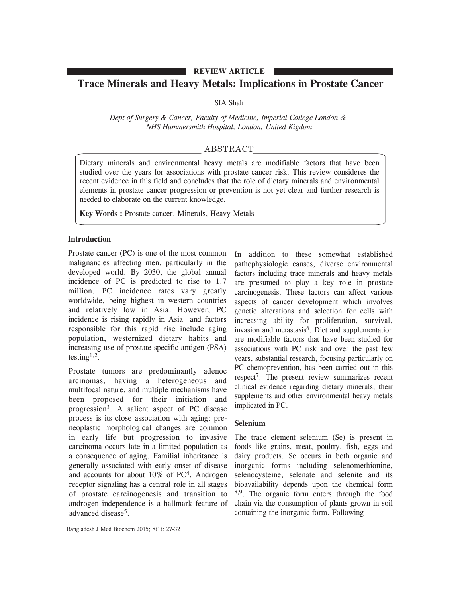### **REVIEW ARTICLE**

# **Trace Minerals and Heavy Metals: Implications in Prostate Cancer**

### SIA Shah

*Dept of Surgery & Cancer, Faculty of Medicine, Imperial College London & NHS Hammersmith Hospital, London, United Kigdom*

## ABSTRACT

Dietary minerals and environmental heavy metals are modifiable factors that have been studied over the years for associations with prostate cancer risk. This review consideres the recent evidence in this field and concludes that the role of dietary minerals and environmental elements in prostate cancer progression or prevention is not yet clear and further research is needed to elaborate on the current knowledge.

**Key Words :** Prostate cancer, Minerals, Heavy Metals

#### **Introduction**

Prostate cancer (PC) is one of the most common malignancies affecting men, particularly in the developed world. By 2030, the global annual incidence of PC is predicted to rise to 1.7 million. PC incidence rates vary greatly worldwide, being highest in western countries and relatively low in Asia. However, PC incidence is rising rapidly in Asia and factors responsible for this rapid rise include aging population, westernized dietary habits and increasing use of prostate-specific antigen (PSA) testing<sup>1,2</sup>.

Prostate tumors are predominantly adenoc arcinomas, having a heterogeneous and multifocal nature, and multiple mechanisms have been proposed for their initiation and progression3. A salient aspect of PC disease process is its close association with aging; preneoplastic morphological changes are common in early life but progression to invasive carcinoma occurs late in a limited population as a consequence of aging. Familial inheritance is generally associated with early onset of disease and accounts for about 10% of PC4. Androgen receptor signaling has a central role in all stages of prostate carcinogenesis and transition to androgen independence is a hallmark feature of advanced disease5.

In addition to these somewhat established pathophysiologic causes, diverse environmental factors including trace minerals and heavy metals are presumed to play a key role in prostate carcinogenesis. These factors can affect various aspects of cancer development which involves genetic alterations and selection for cells with increasing ability for proliferation, survival, invasion and metastasis $6$ . Diet and supplementation are modifiable factors that have been studied for associations with PC risk and over the past few years, substantial research, focusing particularly on PC chemoprevention, has been carried out in this respect 7. The present review summarizes recent clinical evidence regarding dietary minerals, their supplements and other environmental heavy metals implicated in PC.

## **Selenium**

The trace element selenium (Se) is present in foods like grains, meat, poultry, fish, eggs and dairy products. Se occurs in both organic and inorganic forms including selenomethionine, selenocysteine, selenate and selenite and its bioavailability depends upon the chemical form 8,9. The organic form enters through the food chain via the consumption of plants grown in soil containing the inorganic form. Following

Bangladesh J Med Biochem 2015; 8(1): 27-32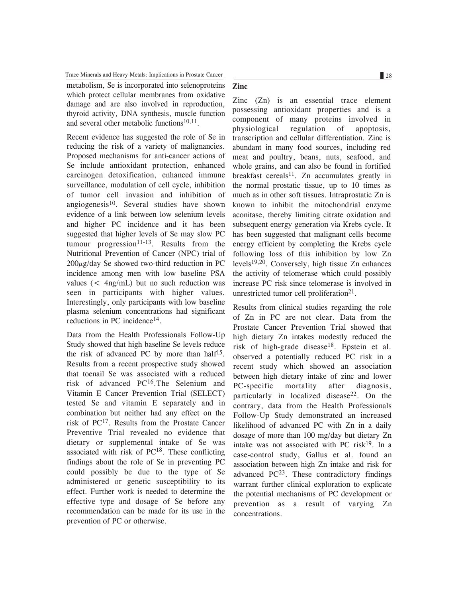Trace Minerals and Heavy Metals: Implications in Prostate Cancer 28 28

metabolism, Se is incorporated into selenoproteins which protect cellular membranes from oxidative damage and are also involved in reproduction, thyroid activity, DNA synthesis, muscle function and several other metabolic functions<sup>10,11</sup>.

Recent evidence has suggested the role of Se in reducing the risk of a variety of malignancies. Proposed mechanisms for anti-cancer actions of Se include antioxidant protection, enhanced carcinogen detoxification, enhanced immune surveillance, modulation of cell cycle, inhibition of tumor cell invasion and inhibition of angiogenesis $10$ . Several studies have shown evidence of a link between low selenium levels and higher PC incidence and it has been suggested that higher levels of Se may slow PC tumour progression $11-13$ . Results from the Nutritional Prevention of Cancer (NPC) trial of  $200\mu$ g/day Se showed two-third reduction in PC incidence among men with low baseline PSA values  $(<$  4ng/mL) but no such reduction was seen in participants with higher values. Interestingly, only participants with low baseline plasma selenium concentrations had significant reductions in PC incidence<sup>14</sup>.

Data from the Health Professionals Follow-Up Study showed that high baseline Se levels reduce the risk of advanced PC by more than half<sup>15</sup>. Results from a recent prospective study showed that toenail Se was associated with a reduced risk of advanced PC16.The Selenium and Vitamin E Cancer Prevention Trial (SELECT) tested Se and vitamin E separately and in combination but neither had any effect on the risk of PC17. Results from the Prostate Cancer Preventive Trial revealed no evidence that dietary or supplemental intake of Se was associated with risk of  $PC^{18}$ . These conflicting findings about the role of Se in preventing PC could possibly be due to the type of Se administered or genetic susceptibility to its effect. Further work is needed to determine the effective type and dosage of Se before any recommendation can be made for its use in the prevention of PC or otherwise.

### **Zinc**

Zinc (Zn) is an essential trace element possessing antioxidant properties and is a component of many proteins involved in physiological regulation of apoptosis, transcription and cellular differentiation. Zinc is abundant in many food sources, including red meat and poultry, beans, nuts, seafood, and whole grains, and can also be found in fortified breakfast cereals<sup>11</sup>. Zn accumulates greatly in the normal prostatic tissue, up to 10 times as much as in other soft tissues. Intraprostatic Zn is known to inhibit the mitochondrial enzyme aconitase, thereby limiting citrate oxidation and subsequent energy generation via Krebs cycle. It has been suggested that malignant cells become energy efficient by completing the Krebs cycle following loss of this inhibition by low Zn levels<sup>19,20</sup>. Conversely, high tissue  $Zn$  enhances the activity of telomerase which could possibly increase PC risk since telomerase is involved in unrestricted tumor cell proliferation<sup>21</sup>.

Results from clinical studies regarding the role of Zn in PC are not clear. Data from the Prostate Cancer Prevention Trial showed that high dietary Zn intakes modestly reduced the risk of high-grade disease<sup>18</sup>. Epstein et al. observed a potentially reduced PC risk in a recent study which showed an association between high dietary intake of zinc and lower PC-specific mortality after diagnosis, particularly in localized disease<sup>22</sup>. On the contrary, data from the Health Professionals Follow-Up Study demonstrated an increased likelihood of advanced PC with Zn in a daily dosage of more than 100 mg/day but dietary Zn intake was not associated with PC risk $19$ . In a case-control study, Gallus et al. found an association between high Zn intake and risk for advanced  $PC^{23}$ . These contradictory findings warrant further clinical exploration to explicate the potential mechanisms of PC development or prevention as a result of varying Zn concentrations.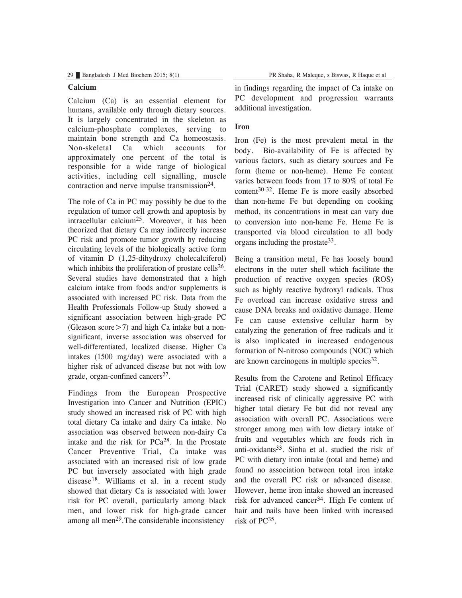#### **Calcium**

Calcium (Ca) is an essential element for humans, available only through dietary sources. It is largely concentrated in the skeleton as calcium-phosphate complexes, serving to maintain bone strength and Ca homeostasis. Non-skeletal Ca which accounts for approximately one percent of the total is responsible for a wide range of biological activities, including cell signalling, muscle contraction and nerve impulse transmission $24$ .

The role of Ca in PC may possibly be due to the regulation of tumor cell growth and apoptosis by intracellular calcium25. Moreover, it has been theorized that dietary Ca may indirectly increase PC risk and promote tumor growth by reducing circulating levels of the biologically active form of vitamin D (1,25-dihydroxy cholecalciferol) which inhibits the proliferation of prostate cells<sup>26</sup>. Several studies have demonstrated that a high calcium intake from foods and/or supplements is associated with increased PC risk. Data from the Health Professionals Follow-up Study showed a significant association between high-grade PC (Gleason score  $>$  7) and high Ca intake but a nonsignificant, inverse association was observed for well-differentiated, localized disease. Higher Ca intakes (1500 mg/day) were associated with a higher risk of advanced disease but not with low grade, organ-confined cancers<sup>27</sup>.

Findings from the European Prospective Investigation into Cancer and Nutrition (EPIC) study showed an increased risk of PC with high total dietary Ca intake and dairy Ca intake. No association was observed between non-dairy Ca intake and the risk for  $PCa^{28}$ . In the Prostate Cancer Preventive Trial, Ca intake was associated with an increased risk of low grade PC but inversely associated with high grade disease18. Williams et al. in a recent study showed that dietary Ca is associated with lower risk for PC overall, particularly among black men, and lower risk for high-grade cancer among all men<sup>29</sup>. The considerable inconsistency

in findings regarding the impact of Ca intake on PC development and progression warrants additional investigation.

### **Iron**

Iron (Fe) is the most prevalent metal in the body. Bio-availability of Fe is affected by various factors, such as dietary sources and Fe form (heme or non-heme). Heme Fe content varies between foods from 17 to 80% of total Fe content 30-32. Heme Fe is more easily absorbed than non-heme Fe but depending on cooking method, its concentrations in meat can vary due to conversion into non-heme Fe. Heme Fe is transported via blood circulation to all body organs including the prostate33.

Being a transition metal, Fe has loosely bound electrons in the outer shell which facilitate the production of reactive oxygen species (ROS) such as highly reactive hydroxyl radicals. Thus Fe overload can increase oxidative stress and cause DNA breaks and oxidative damage. Heme Fe can cause extensive cellular harm by catalyzing the generation of free radicals and it is also implicated in increased endogenous formation of N-nitroso compounds (NOC) which are known carcinogens in multiple species<sup>32</sup>.

Results from the Carotene and Retinol Efficacy Trial (CARET) study showed a significantly increased risk of clinically aggressive PC with higher total dietary Fe but did not reveal any association with overall PC. Associations were stronger among men with low dietary intake of fruits and vegetables which are foods rich in anti-oxidants<sup>33</sup>. Sinha et al. studied the risk of PC with dietary iron intake (total and heme) and found no association between total iron intake and the overall PC risk or advanced disease. However, heme iron intake showed an increased risk for advanced cancer34. High Fe content of hair and nails have been linked with increased risk of PC35.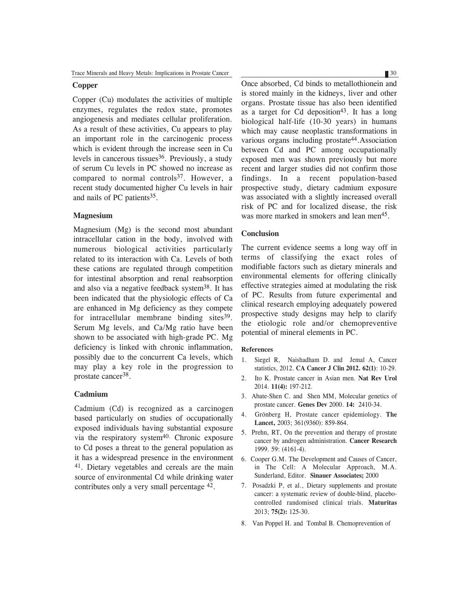#### **Copper**

Copper (Cu) modulates the activities of multiple enzymes, regulates the redox state, promotes angiogenesis and mediates cellular proliferation. As a result of these activities, Cu appears to play an important role in the carcinogenic process which is evident through the increase seen in Cu levels in cancerous tissues<sup>36</sup>. Previously, a study of serum Cu levels in PC showed no increase as compared to normal controls37. However, a recent study documented higher Cu levels in hair and nails of PC patients<sup>35</sup>.

#### **Magnesium**

Magnesium (Mg) is the second most abundant intracellular cation in the body, involved with numerous biological activities particularly related to its interaction with Ca. Levels of both these cations are regulated through competition for intestinal absorption and renal reabsorption and also via a negative feedback system38. It has been indicated that the physiologic effects of Ca are enhanced in Mg deficiency as they compete for intracellular membrane binding sites $39$ . Serum Mg levels, and Ca/Mg ratio have been shown to be associated with high-grade PC. Mg deficiency is linked with chronic inflammation, possibly due to the concurrent Ca levels, which may play a key role in the progression to prostate cancer38.

#### **Cadmium**

Cadmium (Cd) is recognized as a carcinogen based particularly on studies of occupationally exposed individuals having substantial exposure via the respiratory system40. Chronic exposure to Cd poses a threat to the general population as it has a widespread presence in the environment 41. Dietary vegetables and cereals are the main source of environmental Cd while drinking water contributes only a very small percentage 42.

Once absorbed, Cd binds to metallothionein and is stored mainly in the kidneys, liver and other organs. Prostate tissue has also been identified as a target for Cd deposition<sup>43</sup>. It has a long biological half-life (10-30 years) in humans which may cause neoplastic transformations in various organs including prostate<sup>44</sup>. Association between Cd and PC among occupationally exposed men was shown previously but more recent and larger studies did not confirm those findings. In a recent population-based prospective study, dietary cadmium exposure was associated with a slightly increased overall risk of PC and for localized disease, the risk was more marked in smokers and lean men<sup>45</sup>.

#### **Conclusion**

The current evidence seems a long way off in terms of classifying the exact roles of modifiable factors such as dietary minerals and environmental elements for offering clinically effective strategies aimed at modulating the risk of PC. Results from future experimental and clinical research employing adequately powered prospective study designs may help to clarify the etiologic role and/or chemopreventive potential of mineral elements in PC.

#### **References**

- 1. Siegel R, Naishadham D. and Jemal A, Cancer statistics, 2012. **CA Cancer J Clin 2012. 62(1)**: 10-29.
- 2. Ito K. Prostate cancer in Asian men. **Nat Rev Urol** 2014. **11(4):** 197-212.
- 3. Abate-Shen C. and Shen MM, Molecular genetics of prostate cancer. **Genes Dev** 2000. **14:** 2410-34.
- 4. Grönberg H, Prostate cancer epidemiology. **The Lancet,** 2003; 361(9360): 859-864.
- 5. Prehn, RT, On the prevention and therapy of prostate cancer by androgen administration. **Cancer Research** 1999. 59: (4161-4).
- 6. Cooper G.M. The Development and Causes of Cancer, in The Cell: A Molecular Approach, M.A. Sunderland, Editor. **Sinauer Associates;** 2000
- 7. Posadzki P, et al., Dietary supplements and prostate cancer: a systematic review of double-blind, placebocontrolled randomised clinical trials. **Maturitas** 2013; **75(2):** 125-30.
- 8. Van Poppel H. and Tombal B. Chemoprevention of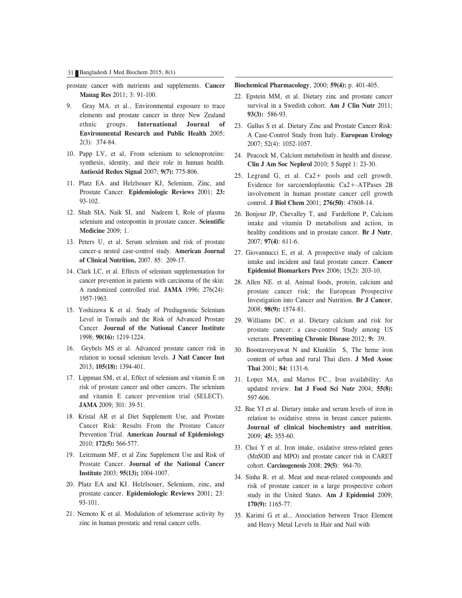- prostate cancer with nutrients and supplements. **Cancer Manag Res** 2011; 3: 91-100.
- 9. Gray MA. et al., Environmental exposure to trace elements and prostate cancer in three New Zealand ethnic groups. **International Journal of Environmental Research and Public Health** 2005; 2(3): 374-84.
- 10. Papp LV, et al, From selenium to selenoproteins: synthesis, identity, and their role in human health. **Antioxid Redox Signal** 2007; **9(7):** 775-806.
- 11. Platz EA. and Helzlsouer KJ, Selenium, Zinc, and Prostate Cancer. **Epidemiologic Reviews** 2001; **23:** 93-102.
- 12. Shah SIA, Naik SI, and Nadeem I, Role of plasma selenium and osteopontin in prostate cancer. **Scientific Medicine** 2009; 1.
- 13. Peters U, et al. Serum selenium and risk of prostate cancer-a nested case-control study. **American Journal of Clinical Nutrition,** 2007. 85: 209-17.
- 14. Clark LC, et al. Effects of selenium supplementation for cancer prevention in patients with carcinoma of the skin: A randomized controlled trial. **JAMA** 1996; 276(24): 1957-1963.
- 15. Yoshizawa K et al. Study of Prediagnostic Selenium Level in Toenails and the Risk of Advanced Prostate Cancer. **Journal of the National Cancer Institute** 1998; **90(16):** 1219-1224.
- 16. Geybels MS et al. Advanced prostate cancer risk in relation to toenail selenium levels. **J Natl Cancer Inst** 2013; **105(18):** 1394-401.
- 17. Lippman SM, et al, Effect of selenium and vitamin E on risk of prostate cancer and other cancers. The selenium and vitamin E cancer prevention trial (SELECT). **JAMA** 2009; 301: 39-51.
- 18. Kristal AR et al Diet Supplement Use, and Prostate Cancer Risk: Results From the Prostate Cancer Prevention Trial. **American Journal of Epidemiology** 2010; **172(5):** 566-577.
- 19. Leitzmann MF, et al Zinc Supplement Use and Risk of Prostate Cancer. **Journal of the National Cancer Institute** 2003; **95(13);** 1004-1007.
- 20. Platz EA and KJ. Helzlsouer, Selenium, zinc, and prostate cancer. **Epidemiologic Reviews** 2001; 23: 93-101.
- 21. Nemoto K et al. Modulation of telomerase activity by zinc in human prostatic and renal cancer cells.

#### **Biochemical Pharmacology**, 2000; **59(4):** p. 401-405.

- 22. Epstein MM, et al. Dietary zinc and prostate cancer survival in a Swedish cohort. **Am J Clin Nutr** 2011; **93(3):** 586-93.
- 23. Gallus S et al. Dietary Zinc and Prostate Cancer Risk: A Case-Control Study from Italy. **European Urology** 2007; 52(4): 1052-1057.
- 24. Peacock M, Calcium metabolism in health and disease. **Clin J Am Soc Nephrol** 2010; 5 Suppl 1: 23-30.
- 25. Legrand G, et al. Ca2+ pools and cell growth. Evidence for sarcoendoplasmic Ca2+-ATPases 2B involvement in human prostate cancer cell growth control. **J Biol Chem** 2001; **276(50)**: 47608-14.
- 26. Bonjour JP, Chevalley T, and Fardellone P, Calcium intake and vitamin D metabolism and action, in healthy conditions and in prostate cancer. **Br J Nutr**, 2007; **97(4)**: 611-6.
- 27. Giovannucci E, et al. A prospective study of calcium intake and incident and fatal prostate cancer. **Cancer Epidemiol Biomarkers Prev** 2006; 15(2): 203-10.
- 28. Allen NE. et al. Animal foods, protein, calcium and prostate cancer risk: the European Prospective Investigation into Cancer and Nutrition. **Br J Cancer**, 2008; **98(9):** 1574-81.
- 29. Williams DC. et al. Dietary calcium and risk for prostate cancer: a case-control Study among US veterans. **Preventing Chronic Disease** 2012; **9:** 39.
- 30. Boontaveeyuwat N and Klunklin S, The heme iron content of urban and rural Thai diets. **J Med Assoc Thai** 2001; **84:** 1131-6.
- 31. Lopez MA, and Martos FC., Iron availability: An updated review. **Int J Food Sci Nutr** 2004; **55(8):** 597-606.
- 32. Bae YJ et al. Dietary intake and serum levels of iron in relation to oxidative stress in breast cancer patients. **Journal of clinical biochemistry and nutrition**, 2009; **45:** 355-60.
- 33. Choi Y et al. Iron intake, oxidative stress-related genes (MnSOD and MPO) and prostate cancer risk in CARET cohort. **Carcinogenesis** 2008; **29(5)**: 964-70.
- 34. Sinha R. et al. Meat and meat-related compounds and risk of prostate cancer in a large prospective cohort study in the United States. **Am J Epidemiol** 2009; **170(9):** 1165-77.
- 35. Karimi G et al., Association between Trace Element and Heavy Metal Levels in Hair and Nail with